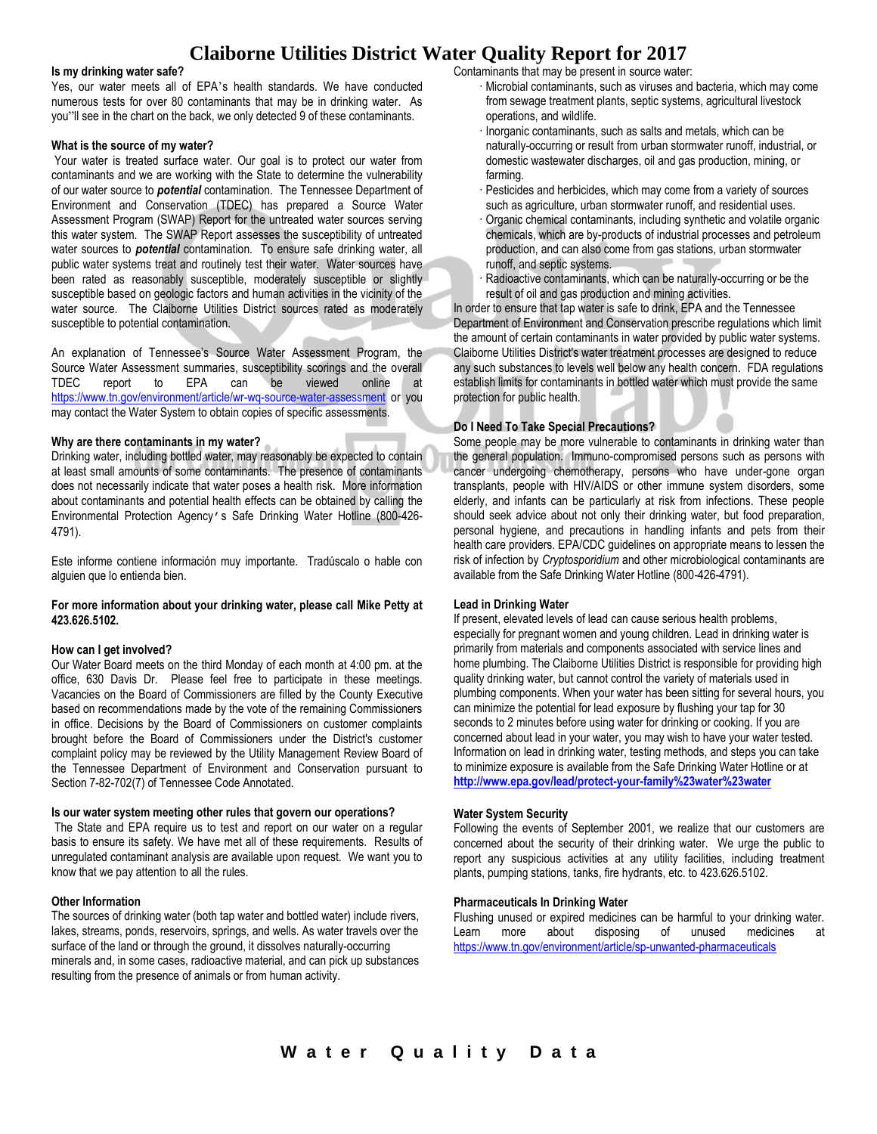# **Claiborne Utilities District Water Quality Report for 2017**

#### **Is my drinking water safe?**

Yes, our water meets all of EPA's health standards. We have conducted numerous tests for over 80 contaminants that may be in drinking water. As you"ll see in the chart on the back, we only detected 9 of these contaminants.

### **What is the source of my water?**

Your water is treated surface water. Our goal is to protect our water from contaminants and we are working with the State to determine the vulnerability of our water source to *potential* contamination. The Tennessee Department of Environment and Conservation (TDEC) has prepared a Source Water Assessment Program (SWAP) Report for the untreated water sources serving this water system. The SWAP Report assesses the susceptibility of untreated water sources to *potential* contamination. To ensure safe drinking water, all public water systems treat and routinely test their water. Water sources have been rated as reasonably susceptible, moderately susceptible or slightly susceptible based on geologic factors and human activities in the vicinity of the water source. The Claiborne Utilities District sources rated as moderately susceptible to potential contamination.

An explanation of Tennessee's Source Water Assessment Program, the Source Water Assessment summaries, susceptibility scorings and the overall TDEC report to EPA can be viewed online at <https://www.tn.gov/environment/article/wr-wq-source-water-assessment> or you may contact the Water System to obtain copies of specific assessments.

## **Why are there contaminants in my water?**

Drinking water, including bottled water, may reasonably be expected to contain at least small amounts of some contaminants. The presence of contaminants does not necessarily indicate that water poses a health risk. More information about contaminants and potential health effects can be obtained by calling the Environmental Protection Agency's Safe Drinking Water Hotline (800-426- 4791).

Este informe contiene información muy importante. Tradúscalo o hable con alguien que lo entienda bien.

## **For more information about your drinking water, please call Mike Petty at 423.626.5102.**

### **How can I get involved?**

Our Water Board meets on the third Monday of each month at 4:00 pm. at the office, 630 Davis Dr. Please feel free to participate in these meetings. Vacancies on the Board of Commissioners are filled by the County Executive based on recommendations made by the vote of the remaining Commissioners in office. Decisions by the Board of Commissioners on customer complaints brought before the Board of Commissioners under the District's customer complaint policy may be reviewed by the Utility Management Review Board of the Tennessee Department of Environment and Conservation pursuant to Section 7-82-702(7) of Tennessee Code Annotated.

## **Is our water system meeting other rules that govern our operations?**

The State and EPA require us to test and report on our water on a regular basis to ensure its safety. We have met all of these requirements. Results of unregulated contaminant analysis are available upon request. We want you to know that we pay attention to all the rules.

## **Other Information**

The sources of drinking water (both tap water and bottled water) include rivers, lakes, streams, ponds, reservoirs, springs, and wells. As water travels over the surface of the land or through the ground, it dissolves naturally-occurring minerals and, in some cases, radioactive material, and can pick up substances resulting from the presence of animals or from human activity.

Contaminants that may be present in source water:

- · Microbial contaminants, such as viruses and bacteria, which may come from sewage treatment plants, septic systems, agricultural livestock operations, and wildlife.
- · Inorganic contaminants, such as salts and metals, which can be naturally-occurring or result from urban stormwater runoff, industrial, or domestic wastewater discharges, oil and gas production, mining, or farming.
- · Pesticides and herbicides, which may come from a variety of sources such as agriculture, urban stormwater runoff, and residential uses.
- Organic chemical contaminants, including synthetic and volatile organic chemicals, which are by-products of industrial processes and petroleum production, and can also come from gas stations, urban stormwater runoff, and septic systems.
- Radioactive contaminants, which can be naturally-occurring or be the result of oil and gas production and mining activities.

In order to ensure that tap water is safe to drink, EPA and the Tennessee Department of Environment and Conservation prescribe regulations which limit the amount of certain contaminants in water provided by public water systems. Claiborne Utilities District's water treatment processes are designed to reduce any such substances to levels well below any health concern. FDA regulations establish limits for contaminants in bottled water which must provide the same protection for public health.

## **Do I Need To Take Special Precautions?**

Some people may be more vulnerable to contaminants in drinking water than the general population. Immuno-compromised persons such as persons with cancer undergoing chemotherapy, persons who have under-gone organ transplants, people with HIV/AIDS or other immune system disorders, some elderly, and infants can be particularly at risk from infections. These people should seek advice about not only their drinking water, but food preparation, personal hygiene, and precautions in handling infants and pets from their health care providers. EPA/CDC guidelines on appropriate means to lessen the risk of infection by *Cryptosporidium* and other microbiological contaminants are available from the Safe Drinking Water Hotline (800-426-4791).

## **Lead in Drinking Water**

If present, elevated levels of lead can cause serious health problems, especially for pregnant women and young children. Lead in drinking water is primarily from materials and components associated with service lines and home plumbing. The Claiborne Utilities District is responsible for providing high quality drinking water, but cannot control the variety of materials used in plumbing components. When your water has been sitting for several hours, you can minimize the potential for lead exposure by flushing your tap for 30 seconds to 2 minutes before using water for drinking or cooking. If you are concerned about lead in your water, you may wish to have your water tested. Information on lead in drinking water, testing methods, and steps you can take to minimize exposure is available from the Safe Drinking Water Hotline or at **<http://www.epa.gov/lead/protect-your-family%23water%23water>**

### **Water System Security**

Following the events of September 2001, we realize that our customers are concerned about the security of their drinking water. We urge the public to report any suspicious activities at any utility facilities, including treatment plants, pumping stations, tanks, fire hydrants, etc. to 423.626.5102.

### **Pharmaceuticals In Drinking Water**

Flushing unused or expired medicines can be harmful to your drinking water. Learn more about disposing of unused medicines at <https://www.tn.gov/environment/article/sp-unwanted-pharmaceuticals>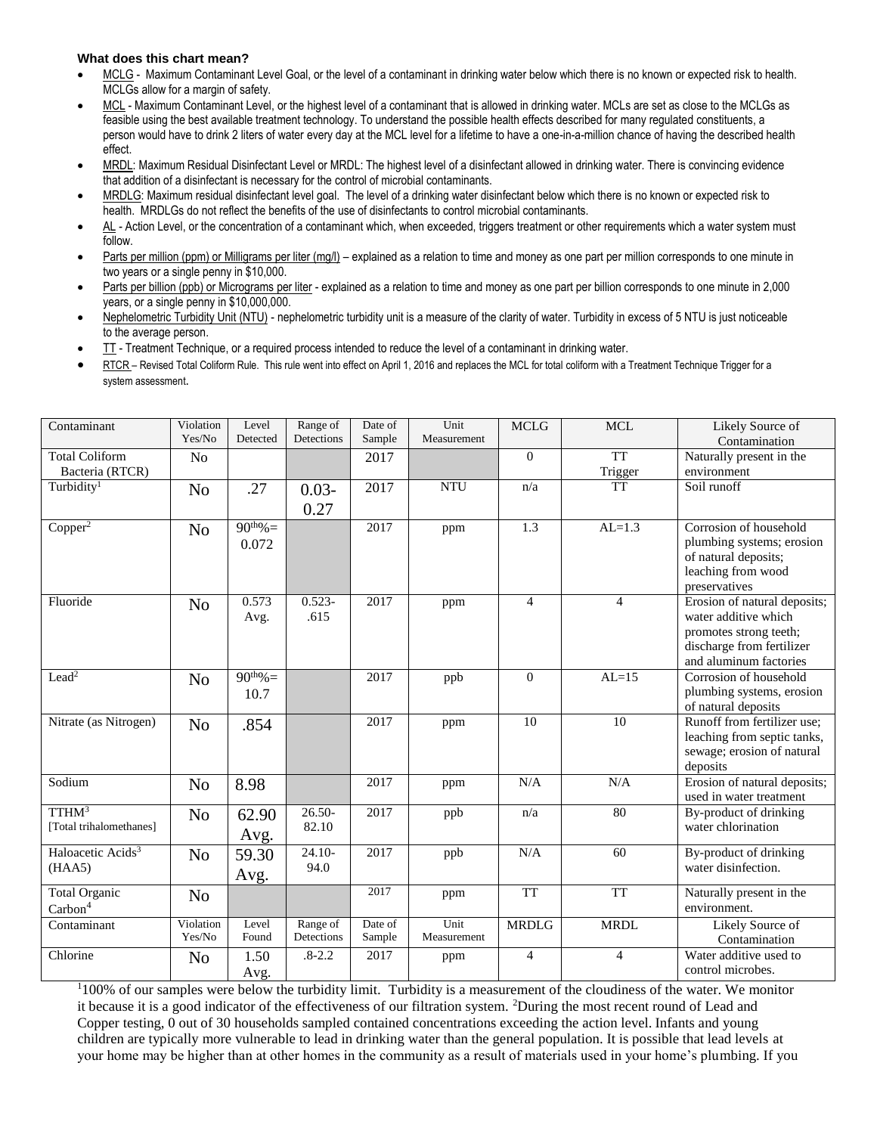## **What does this chart mean?**

- MCLG Maximum Contaminant Level Goal, or the level of a contaminant in drinking water below which there is no known or expected risk to health. MCLGs allow for a margin of safety.
- MCL Maximum Contaminant Level, or the highest level of a contaminant that is allowed in drinking water. MCLs are set as close to the MCLGs as feasible using the best available treatment technology. To understand the possible health effects described for many regulated constituents, a person would have to drink 2 liters of water every day at the MCL level for a lifetime to have a one-in-a-million chance of having the described health effect.
- MRDL: Maximum Residual Disinfectant Level or MRDL: The highest level of a disinfectant allowed in drinking water. There is convincing evidence that addition of a disinfectant is necessary for the control of microbial contaminants.
- MRDLG: Maximum residual disinfectant level goal. The level of a drinking water disinfectant below which there is no known or expected risk to health. MRDLGs do not reflect the benefits of the use of disinfectants to control microbial contaminants.
- AL Action Level, or the concentration of a contaminant which, when exceeded, triggers treatment or other requirements which a water system must follow.
- Parts per million (ppm) or Milligrams per liter (mg/l) explained as a relation to time and money as one part per million corresponds to one minute in two years or a single penny in \$10,000.
- Parts per billion (ppb) or Micrograms per liter explained as a relation to time and money as one part per billion corresponds to one minute in 2,000 years, or a single penny in \$10,000,000.
- Nephelometric Turbidity Unit (NTU) nephelometric turbidity unit is a measure of the clarity of water. Turbidity in excess of 5 NTU is just noticeable to the average person.
- TT Treatment Technique, or a required process intended to reduce the level of a contaminant in drinking water.
- RTCR Revised Total Coliform Rule. This rule went into effect on April 1, 2016 and replaces the MCL for total coliform with a Treatment Technique Trigger for a system assessment.

| Contaminant                   | Violation      | Level         | Range of   | Date of | Unit        | <b>MCLG</b>    | <b>MCL</b>             | Likely Source of             |
|-------------------------------|----------------|---------------|------------|---------|-------------|----------------|------------------------|------------------------------|
|                               | Yes/No         | Detected      | Detections | Sample  | Measurement |                |                        | Contamination                |
| <b>Total Coliform</b>         | N <sub>o</sub> |               |            | 2017    |             | $\Omega$       | $\overline{\text{TT}}$ | Naturally present in the     |
| Bacteria (RTCR)               |                |               |            |         |             |                | Trigger                | environment                  |
| Turbidity <sup>1</sup>        | N <sub>o</sub> | .27           | $0.03 -$   | 2017    | <b>NTU</b>  | n/a            | <b>TT</b>              | Soil runoff                  |
|                               |                |               | 0.27       |         |             |                |                        |                              |
| Copper <sup>2</sup>           | N <sub>o</sub> | $90^{th}\% =$ |            | 2017    | ppm         | 1.3            | $AL=1.3$               | Corrosion of household       |
|                               |                | 0.072         |            |         |             |                |                        | plumbing systems; erosion    |
|                               |                |               |            |         |             |                |                        | of natural deposits;         |
|                               |                |               |            |         |             |                |                        | leaching from wood           |
|                               |                |               |            |         |             |                |                        | preservatives                |
| Fluoride                      | N <sub>o</sub> | 0.573         | $0.523 -$  | 2017    | ppm         | $\overline{4}$ | $\overline{4}$         | Erosion of natural deposits; |
|                               |                | Avg.          | .615       |         |             |                |                        | water additive which         |
|                               |                |               |            |         |             |                |                        | promotes strong teeth;       |
|                               |                |               |            |         |             |                |                        | discharge from fertilizer    |
|                               |                |               |            |         |             |                |                        | and aluminum factories       |
| Lead <sup>2</sup>             | N <sub>o</sub> | $90^{th}\% =$ |            | 2017    | ppb         | $\Omega$       | $AL=15$                | Corrosion of household       |
|                               |                | 10.7          |            |         |             |                |                        | plumbing systems, erosion    |
|                               |                |               |            |         |             |                |                        | of natural deposits          |
| Nitrate (as Nitrogen)         | N <sub>o</sub> | .854          |            | 2017    | ppm         | 10             | 10                     | Runoff from fertilizer use;  |
|                               |                |               |            |         |             |                |                        | leaching from septic tanks,  |
|                               |                |               |            |         |             |                |                        | sewage; erosion of natural   |
|                               |                |               |            |         |             |                |                        | deposits                     |
| Sodium                        | N <sub>o</sub> | 8.98          |            | 2017    | ppm         | N/A            | N/A                    | Erosion of natural deposits; |
| TTHM <sup>3</sup>             |                |               |            |         |             |                |                        | used in water treatment      |
|                               | No             | 62.90         | $26.50 -$  | 2017    | ppb         | n/a            | 80                     | By-product of drinking       |
| [Total trihalomethanes]       |                | Avg.          | 82.10      |         |             |                |                        | water chlorination           |
| Haloacetic Acids <sup>3</sup> | N <sub>o</sub> | 59.30         | $24.10-$   | 2017    | ppb         | N/A            | 60                     | By-product of drinking       |
| (HAA5)                        |                | Avg.          | 94.0       |         |             |                |                        | water disinfection.          |
| <b>Total Organic</b>          | N <sub>o</sub> |               |            | 2017    | ppm         | <b>TT</b>      | <b>TT</b>              | Naturally present in the     |
| $\text{Carbon}^4$             |                |               |            |         |             |                |                        | environment.                 |
| Contaminant                   | Violation      | Level         | Range of   | Date of | Unit        | <b>MRDLG</b>   | <b>MRDL</b>            | Likely Source of             |
|                               | Yes/No         | Found         | Detections | Sample  | Measurement |                |                        | Contamination                |
| Chlorine                      | N <sub>0</sub> | 1.50          | $.8 - 2.2$ | 2017    | ppm         | $\overline{4}$ | $\overline{4}$         | Water additive used to       |
|                               |                | Avg.          |            |         |             |                |                        | control microbes.            |

 $1100\%$  of our samples were below the turbidity limit. Turbidity is a measurement of the cloudiness of the water. We monitor it because it is a good indicator of the effectiveness of our filtration system. <sup>2</sup>During the most recent round of Lead and Copper testing, 0 out of 30 households sampled contained concentrations exceeding the action level. Infants and young children are typically more vulnerable to lead in drinking water than the general population. It is possible that lead levels at your home may be higher than at other homes in the community as a result of materials used in your home's plumbing. If you